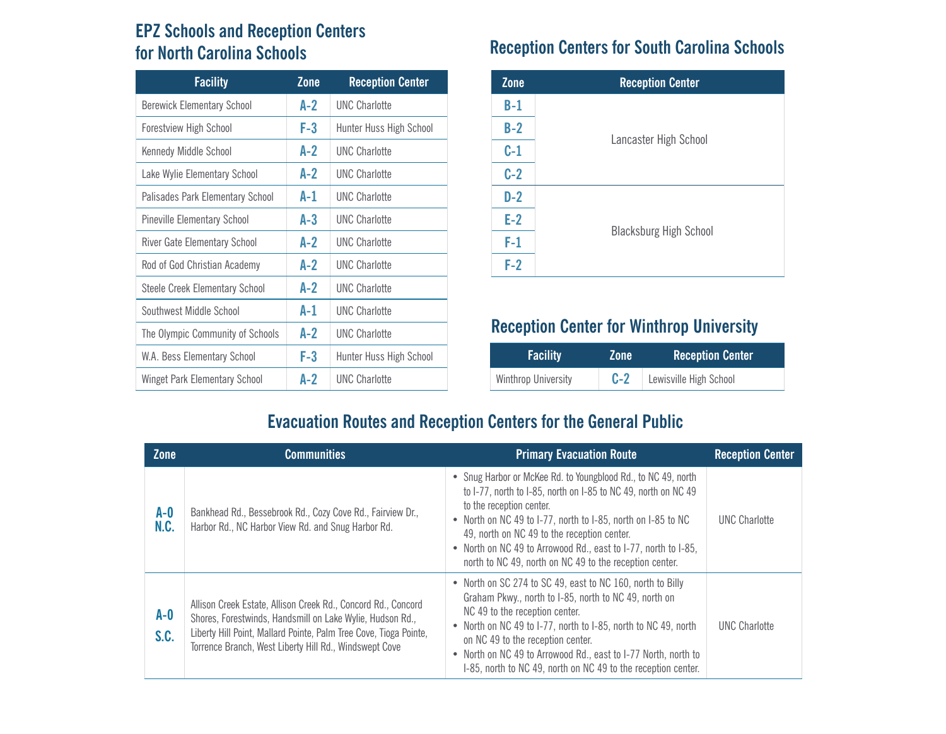## **EPZ Schools and Reception Centers for North Carolina Schools**

| <b>Facility</b>                     | Zone  | <b>Reception Center</b>        |
|-------------------------------------|-------|--------------------------------|
| <b>Berewick Elementary School</b>   | $A-2$ | <b>UNC Charlotte</b>           |
| <b>Forestview High School</b>       | F-3   | Hunter Huss High School        |
| Kennedy Middle School               | A-2   | <b>UNC Charlotte</b>           |
| Lake Wylie Elementary School        | A-2   | <b>IJNC Charlotte</b>          |
| Palisades Park Elementary School    | A-1   | <b>UNC Charlotte</b>           |
| <b>Pineville Elementary School</b>  | A-3   | <b>UNC Charlotte</b>           |
| <b>River Gate Elementary School</b> | A-2   | <b>UNC Charlotte</b>           |
| Rod of God Christian Academy        | $A-2$ | <b>UNC Charlotte</b>           |
| Steele Creek Elementary School      | A-2   | <b>UNC Charlotte</b>           |
| Southwest Middle School             | A-1   | <b>UNC Charlotte</b>           |
| The Olympic Community of Schools    | A-2   | <b>UNC Charlotte</b>           |
| W.A. Bess Elementary School         | F-3   | <b>Hunter Huss High School</b> |
| Winget Park Elementary School       | A-2   | <b>UNC Charlotte</b>           |

## **Reception Centers for South Carolina Schools**

| Zone  | <b>Reception Center</b>       |
|-------|-------------------------------|
| B-1   |                               |
| $B-2$ |                               |
| $C-1$ | Lancaster High School         |
| $C-2$ |                               |
| $D-2$ |                               |
| $E-2$ |                               |
| $F-1$ | <b>Blacksburg High School</b> |
| $F-2$ |                               |

## **Reception Center for Winthrop University**

| <b>Facility</b>     | <b>Zone</b> | <b>Reception Center</b> |
|---------------------|-------------|-------------------------|
| Winthrop University | $C-2$       | Lewisville High School  |

## **Evacuation Routes and Reception Centers for the General Public**

| <b>Zone</b>     | <b>Communities</b>                                                                                                                                                                                                                                        | <b>Primary Evacuation Route</b>                                                                                                                                                                                                                                                                                                                                                                         | <b>Reception Center</b> |
|-----------------|-----------------------------------------------------------------------------------------------------------------------------------------------------------------------------------------------------------------------------------------------------------|---------------------------------------------------------------------------------------------------------------------------------------------------------------------------------------------------------------------------------------------------------------------------------------------------------------------------------------------------------------------------------------------------------|-------------------------|
| $A-0$<br>N.C.   | Bankhead Rd., Bessebrook Rd., Cozy Cove Rd., Fairview Dr.,<br>Harbor Rd., NC Harbor View Rd. and Snug Harbor Rd.                                                                                                                                          | • Snug Harbor or McKee Rd. to Youngblood Rd., to NC 49, north<br>to I-77, north to I-85, north on I-85 to NC 49, north on NC 49<br>to the reception center.<br>• North on NC 49 to 1-77, north to 1-85, north on 1-85 to NC<br>49, north on NC 49 to the reception center.<br>• North on NC 49 to Arrowood Rd., east to I-77, north to I-85,<br>north to NC 49, north on NC 49 to the reception center. | <b>UNC Charlotte</b>    |
| $A - 0$<br>S.C. | Allison Creek Estate, Allison Creek Rd., Concord Rd., Concord<br>Shores, Forestwinds, Handsmill on Lake Wylie, Hudson Rd.,<br>Liberty Hill Point, Mallard Pointe, Palm Tree Cove, Tioga Pointe,<br>Torrence Branch, West Liberty Hill Rd., Windswept Cove | • North on SC 274 to SC 49, east to NC 160, north to Billy<br>Graham Pkwy., north to I-85, north to NC 49, north on<br>NC 49 to the reception center.<br>• North on NC 49 to 1-77, north to 1-85, north to NC 49, north<br>on NC 49 to the reception center.<br>• North on NC 49 to Arrowood Rd., east to I-77 North, north to<br>1-85, north to NC 49, north on NC 49 to the reception center.         | <b>UNC Charlotte</b>    |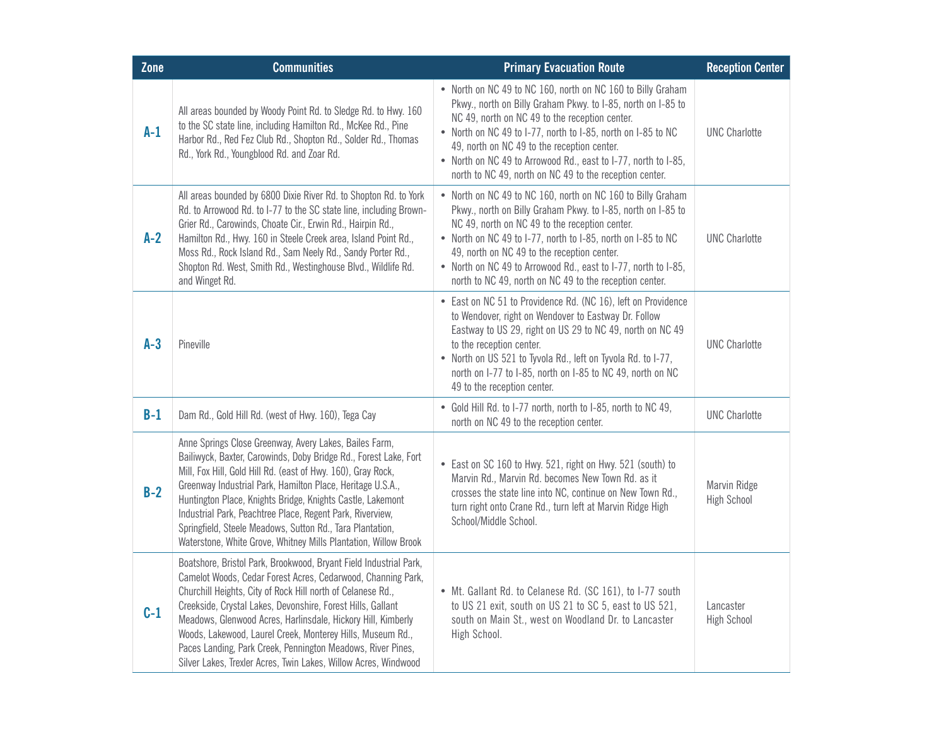| Zone  | <b>Communities</b>                                                                                                                                                                                                                                                                                                                                                                                                                                                                                                              | <b>Primary Evacuation Route</b>                                                                                                                                                                                                                                                                                                                                                                                           | <b>Reception Center</b>            |
|-------|---------------------------------------------------------------------------------------------------------------------------------------------------------------------------------------------------------------------------------------------------------------------------------------------------------------------------------------------------------------------------------------------------------------------------------------------------------------------------------------------------------------------------------|---------------------------------------------------------------------------------------------------------------------------------------------------------------------------------------------------------------------------------------------------------------------------------------------------------------------------------------------------------------------------------------------------------------------------|------------------------------------|
| $A-1$ | All areas bounded by Woody Point Rd. to Sledge Rd. to Hwy. 160<br>to the SC state line, including Hamilton Rd., McKee Rd., Pine<br>Harbor Rd., Red Fez Club Rd., Shopton Rd., Solder Rd., Thomas<br>Rd., York Rd., Youngblood Rd. and Zoar Rd.                                                                                                                                                                                                                                                                                  | • North on NC 49 to NC 160, north on NC 160 to Billy Graham<br>Pkwy., north on Billy Graham Pkwy. to I-85, north on I-85 to<br>NC 49, north on NC 49 to the reception center.<br>• North on NC 49 to I-77, north to I-85, north on I-85 to NC<br>49, north on NC 49 to the reception center.<br>• North on NC 49 to Arrowood Rd., east to I-77, north to I-85,<br>north to NC 49, north on NC 49 to the reception center. | <b>UNC Charlotte</b>               |
| $A-2$ | All areas bounded by 6800 Dixie River Rd. to Shopton Rd. to York<br>Rd. to Arrowood Rd. to I-77 to the SC state line, including Brown-<br>Grier Rd., Carowinds, Choate Cir., Erwin Rd., Hairpin Rd.,<br>Hamilton Rd., Hwy. 160 in Steele Creek area, Island Point Rd.,<br>Moss Rd., Rock Island Rd., Sam Neely Rd., Sandy Porter Rd.,<br>Shopton Rd. West, Smith Rd., Westinghouse Blvd., Wildlife Rd.<br>and Winget Rd.                                                                                                        | • North on NC 49 to NC 160, north on NC 160 to Billy Graham<br>Pkwy., north on Billy Graham Pkwy. to I-85, north on I-85 to<br>NC 49, north on NC 49 to the reception center.<br>• North on NC 49 to I-77, north to I-85, north on I-85 to NC<br>49, north on NC 49 to the reception center.<br>• North on NC 49 to Arrowood Rd., east to I-77, north to I-85,<br>north to NC 49, north on NC 49 to the reception center. | <b>UNC Charlotte</b>               |
| $A-3$ | Pineville                                                                                                                                                                                                                                                                                                                                                                                                                                                                                                                       | • East on NC 51 to Providence Rd. (NC 16), left on Providence<br>to Wendover, right on Wendover to Eastway Dr. Follow<br>Eastway to US 29, right on US 29 to NC 49, north on NC 49<br>to the reception center.<br>• North on US 521 to Tyvola Rd., left on Tyvola Rd. to I-77,<br>north on I-77 to I-85, north on I-85 to NC 49, north on NC<br>49 to the reception center.                                               | <b>UNC Charlotte</b>               |
| $B-1$ | Dam Rd., Gold Hill Rd. (west of Hwy. 160), Tega Cay                                                                                                                                                                                                                                                                                                                                                                                                                                                                             | • Gold Hill Rd. to I-77 north, north to I-85, north to NC 49,<br>north on NC 49 to the reception center.                                                                                                                                                                                                                                                                                                                  | <b>UNC Charlotte</b>               |
| $B-2$ | Anne Springs Close Greenway, Avery Lakes, Bailes Farm,<br>Bailiwyck, Baxter, Carowinds, Doby Bridge Rd., Forest Lake, Fort<br>Mill, Fox Hill, Gold Hill Rd. (east of Hwy. 160), Gray Rock,<br>Greenway Industrial Park, Hamilton Place, Heritage U.S.A.,<br>Huntington Place, Knights Bridge, Knights Castle, Lakemont<br>Industrial Park, Peachtree Place, Regent Park, Riverview,<br>Springfield, Steele Meadows, Sutton Rd., Tara Plantation,<br>Waterstone, White Grove, Whitney Mills Plantation, Willow Brook             | • East on SC 160 to Hwy. 521, right on Hwy. 521 (south) to<br>Marvin Rd., Marvin Rd. becomes New Town Rd. as it<br>crosses the state line into NC, continue on New Town Rd.,<br>turn right onto Crane Rd., turn left at Marvin Ridge High<br>School/Middle School.                                                                                                                                                        | Marvin Ridge<br><b>High School</b> |
| $C-1$ | Boatshore, Bristol Park, Brookwood, Bryant Field Industrial Park,<br>Camelot Woods, Cedar Forest Acres, Cedarwood, Channing Park,<br>Churchill Heights, City of Rock Hill north of Celanese Rd.,<br>Creekside, Crystal Lakes, Devonshire, Forest Hills, Gallant<br>Meadows, Glenwood Acres, Harlinsdale, Hickory Hill, Kimberly<br>Woods, Lakewood, Laurel Creek, Monterey Hills, Museum Rd.,<br>Paces Landing, Park Creek, Pennington Meadows, River Pines,<br>Silver Lakes, Trexler Acres, Twin Lakes, Willow Acres, Windwood | • Mt. Gallant Rd. to Celanese Rd. (SC 161), to I-77 south<br>to US 21 exit, south on US 21 to SC 5, east to US 521,<br>south on Main St., west on Woodland Dr. to Lancaster<br>High School.                                                                                                                                                                                                                               | Lancaster<br><b>High School</b>    |